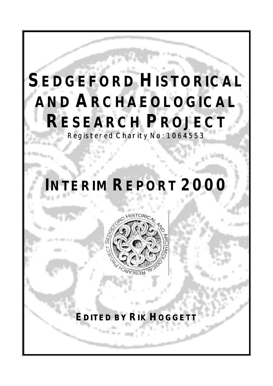# **SEDGEFORD HISTORICAL AND ARCHAEOLOGICAL RESEARCH PROJECT** Registered Charity No: 1064553

# **INTERIM REPORT 2000**



## **EDITED BY RIK HOGGET**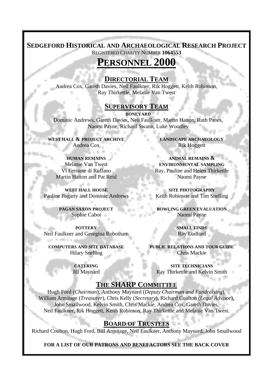### **SEDGEFORD HISTORICAL AND ARCHAEOLOGICAL RESEARCH PROJECT**

REGISTERED CHARITY NUMBER **1064553**

### **PERSONNEL 2000**

#### **DIRECTORIAL TEAM**

Andrea Cox, Gareth Davies, Neil Faulkner, Rik Hoggett, Keith Robinson, Ray Thirkettle, Melanie Van Twest

#### **SUPERVISORY TEAM**

**BONEYARD** Dominic Andrews, Gareth Davies, Neil Faulkner, Martin Hatton, Ruth Panes, Naomi Payne, Richard Swann, Luke Woodley

**WEST HALL & PROJECT ARCHIVE** Andrea Cox

**HUMAN REMAINS** Melanie Van Twest Vi Ferrante di Ruffano Martin Hatton and Pat Reid

**WEST HALL HOUSE** Pauline Fogarty and Dominic Andrews

> **PAGAN SAXON PROJECT** Sophie Cabot

**POTTERY** Neil Faulkner and Georgina Robotham

**COMPUTERS AND SITE DATABASE** Hilary Snelling

> **CATERING** Jill Maynard

**LANDSCAPE ARCHAEOLOGY** Rik Hoggett

**ANIMAL REMAINS & ENVIRONMENTAL SAMPLING** Ray, Pauline and Helen Thirkettle Naomi Payne

**SITE PHOTOGRAPHY** Keith Robinson and Tim Snelling

**BOWLING GREEN EVALUATION** Naomi Payne

> **SMALL FINDS** Ray Ludford

**PUBLIC RELATIONS AND TOUR GUIDE** Chris Mackie

**SITE TECHNICIANS** Ray Thirkettle and Kelvin Smith

#### **THE SHARP COMMITTEE**

Hugh Ford (*Chairman*), Anthony Maynard (*Deputy Chairman and Fundraising*), William Armitage (*Treasurer*), Chris Kelly (*Secretary*), Richard Coulton (*Legal Advisor*), John Smallwood, Kelvin Smith, Chris Mackie, Andrea Cox, Gareth Davies, Neil Faulkner, Rik Hoggett, Keith Robinson, Ray Thirkettle and Melanie Van Twest.

#### **BOARD OF TRUSTEES**

Richard Coulton, Hugh Ford, Bill Armitage, Neil Faulkner, Anthony Maynard, John Smallwood

**FOR A LIST OF OUR PATRONS AND BENEFACTORS SEE THE BACK COVER**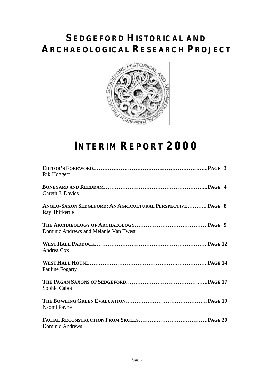### **SEDGEFORD HISTORICAL AND ARCHAEOLOGICAL RESEARCH PROJECT**



# **INTERIM REPORT 2000**

| <b>Rik Hoggett</b>                                                         |
|----------------------------------------------------------------------------|
| Gareth J. Davies                                                           |
| ANGLO-SAXON SEDGEFORD: AN AGRICULTURAL PERSPECTIVEPAGE 8<br>Ray Thirkettle |
| Dominic Andrews and Melanie Van Twest                                      |
| Andrea Cox                                                                 |
| <b>Pauline Fogarty</b>                                                     |
| Sophie Cabot                                                               |
| Naomi Payne                                                                |
| <b>Dominic Andrews</b>                                                     |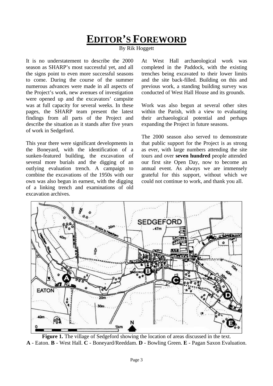### **EDITOR'S FOREWORD**

By Rik Hoggett

It is no understatement to describe the 2000 season as SHARP's most successful yet, and all the signs point to even more successful seasons to come. During the course of the summer numerous advances were made in all aspects of the Project's work, new avenues of investigation were opened up and the excavators' campsite was at full capacity for several weeks. In these pages, the SHARP team present the latest findings from all parts of the Project and describe the situation as it stands after five years of work in Sedgeford.

This year there were significant developments in the Boneyard, with the identification of a sunken-featured building, the excavation of several more burials and the digging of an outlying evaluation trench. A campaign to combine the excavations of the 1950s with our own was also begun in earnest, with the digging of a linking trench and examinations of old excavation archives.

At West Hall archaeological work was completed in the Paddock, with the existing trenches being excavated to their lower limits and the site back-filled. Building on this and previous work, a standing building survey was conducted of West Hall House and its grounds.

Work was also begun at several other sites within the Parish, with a view to evaluating their archaeological potential and perhaps expanding the Project in future seasons.

The 2000 season also served to demonstrate that public support for the Project is as strong as ever, with large numbers attending the site tours and over **seven hundred** people attended our first site Open Day, now to become an annual event. As always we are immensely grateful for this support, without which we could not continue to work, and thank you all.



Figure 1. The village of Sedgeford showing the location of areas discussed in the text. **A** - Eaton. **B** - West Hall. **C** - Boneyard/Reeddam. **D** - Bowling Green. **E** - Pagan Saxon Evaluation.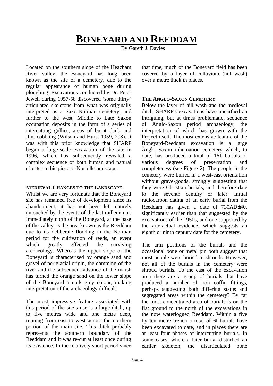### **BONEYARD AND REEDDAM**

By Gareth J. Davies

Located on the southern slope of the Heacham River valley, the Boneyard has long been known as the site of a cemetery, due to the regular appearance of human bone during ploughing. Excavations conducted by Dr. Peter Jewell during 1957-58 discovered 'some thirty' articulated skeletons from what was originally interpreted as a Saxo-Norman cemetery, and further to the west, Middle to Late Saxon occupation deposits in the form of a series of intercutting gullies, areas of burnt daub and flint cobbling (Wilson and Hurst 1959, 298). It was with this prior knowledge that SHARP began a large-scale excavation of the site in 1996, which has subsequently revealed a complex sequence of both human and natural effects on this piece of Norfolk landscape.

#### **MEDIEVAL CHANGES TO THE LANDSCAPE**

Whilst we are very fortunate that the Boneyard site has remained free of development since its abandonment, it has not been left entirely untouched by the events of the last millennium. Immediately north of the Boneyard, at the base of the valley, is the area known as the Reeddam due to its deliberate flooding in the Norman period for the cultivation of reeds, an event which greatly effected the surviving archaeology. Whereas the upper slope of the Boneyard is characterised by orange sand and gravel of periglacial origin, the damming of the river and the subsequent advance of the marsh has turned the orange sand on the lower slope of the Boneyard a dark grey colour, making interpretation of the archaeology difficult.

The most impressive feature associated with this period of the site's use is a large ditch, up to five metres wide and one metre deep, running from east to west across the northern portion of the main site. This ditch probably represents the southern boundary of the Reeddam and it was re-cut at least once during its existence. In the relatively short period since

that time, much of the Boneyard field has been covered by a layer of colluvium (hill wash) over a metre thick in places.

#### **THE ANGLO-SAXON CEMETERY**

Below the layer of hill wash and the medieval ditch, SHARP's excavations have unearthed an intriguing, but at times problematic, sequence of Anglo-Saxon period archaeology, the interpretation of which has grown with the Project itself. The most extensive feature of the Boneyard-Reeddam excavation is a large Anglo Saxon inhumation cemetery which, to date, has produced a total of 161 burials of various degrees of preservation and completeness (see Figure 2). The people in the cemetery were buried in a west-east orientation without grave-goods, strongly suggesting that they were Christian burials, and therefore date to the seventh century or later. Initial radiocarbon dating of an early burial from the Reeddam has given a date of 730AD±40, significantly earlier than that suggested by the excavations of the 1950s, and one supported by the artefactual evidence, which suggests an eighth or ninth century date for the cemetery.

The arm positions of the burials and the occasional bone or metal pin both suggest that most people were buried in shrouds. However, not all of the burials in the cemetery were shroud burials. To the east of the excavation area there are a group of burials that have produced a number of iron coffin fittings, perhaps suggesting both differing status and segregated areas within the cemetery? By far the most concentrated area of burials is on the flat ground to the north of the excavations in the now waterlogged Reeddam. Within a five by ten metre trench a total of 6l burials have been excavated to date, and in places there are at least four phases of intercutting burials. In some cases, where a later burial disturbed an earlier skeleton, the disarticulated bone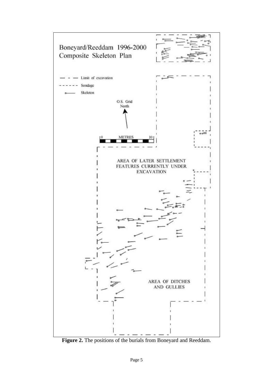

**Figure 2.** The positions of the burials from Boneyard and Reeddam.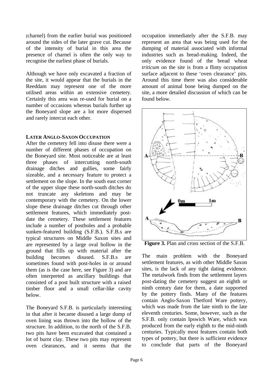(charnel) from the earlier burial was positioned around the sides of the later grave cut. Because of the intensity of burial in this area the presence of charnel is often the only way to recognise the earliest phase of burials.

Although we have only excavated a fraction of the site, it would appear that the burials in the Reeddam may represent one of the more utilised areas within an extensive cemetery. Certainly this area was re-used for burial on a number of occasions whereas burials further up the Boneyard slope are a lot more dispersed and rarely intercut each other.

#### **LATER ANGLO-SAXON OCCUPATION**

After the cemetery fell into disuse there were a number of different phases of occupation on the Boneyard site. Most noticeable are at least three phases of intercutting north-south drainage ditches and gullies, some fairly sizeable, and a necessary feature to protect a settlement on the slope. In the south east corner of the upper slope these north-south ditches do not truncate any skeletons and may be contemporary with the cemetery. On the lower slope these drainage ditches cut through other settlement features, which immediately postdate the cemetery. These settlement features include a number of postholes and a probable sunken-featured building (S.F.B.). S.F.B.s are typical structures on Middle Saxon sites and are represented by a large oval hollow in the ground that fills up with material after the building becomes disused. S.F.B.s are sometimes found with post-holes in or around them (as is the case here, see Figure 3) and are often interpreted as ancillary buildings that consisted of a post built structure with a raised timber floor and a small cellar-like cavity below.

The Boneyard S.F.B. is particularly interesting in that after it became disused a large dump of oven lining was thrown into the hollow of the structure. In addition, to the north of the S.F.B. two pits have been excavated that contained a lot of burnt clay. These two pits may represent oven clearances, and it seems that the

occupation immediately after the S.F.B. may represent an area that was being used for the dumping of material associated with informal industries such as bread-making. Indeed, the only evidence found of the bread wheat *triticum* on the site is from a flinty occupation surface adjacent to these 'oven clearance' pits. Around this time there was also considerable amount of animal bone being dumped on the site, a more detailed discussion of which can be found below.



**Figure 3.** Plan and cross section of the S.F.B.

The main problem with the Boneyard settlement features, as with other Middle Saxon sites, is the lack of any tight dating evidence. The metalwork finds from the settlement layers post-dating the cemetery suggest an eighth or ninth century date for them, a date supported by the pottery finds. Many of the features contain Anglo-Saxon Thetford Ware pottery, which was made from the late ninth to the late eleventh centuries. Some, however, such as the S.F.B. only contain Ipswich Ware, which was produced from the early eighth to the mid-ninth centuries. Typically most features contain both types of pottery, but there is sufficient evidence to conclude that parts of the Boneyard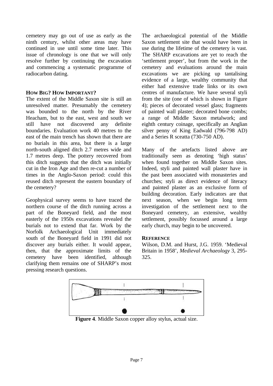cemetery may go out of use as early as the ninth century, whilst other areas may have continued in use until some time later. This issue of chronology is one that we will only resolve further by continuing the excavation and commencing a systematic programme of radiocarbon dating.

#### **HOW BIG? HOW IMPORTANT?**

The extent of the Middle Saxon site is still an unresolved matter. Presumably the cemetery was bounded to the north by the River Heacham, but to the east, west and south we still have not discovered any definite boundaries. Evaluation work 40 metres to the east of the main trench has shown that there are no burials in this area, but there is a large north-south aligned ditch 2.7 metres wide and 1.7 metres deep. The pottery recovered from this ditch suggests that the ditch was initially cut in the Iron Age and then re-cut a number of times in the Anglo-Saxon period: could this reused ditch represent the eastern boundary of the cemetery?

Geophysical survey seems to have traced the northern course of the ditch running across a part of the Boneyard field, and the most easterly of the 1950s excavations revealed the burials not to extend that far. Work by the Norfolk Archaeological Unit immediately south of the Boneyard field in 1991 did not discover any burials either. It would appear, then, that the approximate limits of the cemetery have been identified, although clarifying them remains one of SHARP's most pressing research questions.

The archaeological potential of the Middle Saxon settlement site that would have been in use during the lifetime of the cemetery is vast. The SHARP excavations are yet to reach the 'settlement proper', but from the work in the cemetery and evaluations around the main excavations we are picking up tantalising evidence of a large, wealthy community that either had extensive trade links or its own centres of manufacture. We have several styli from the site (one of which is shown in Figure 4); pieces of decorated vessel glass; fragments of painted wall plaster; decorated bone combs; a range of Middle Saxon metalwork; and eighth century coinage, specifically an Anglian silver penny of King Eadwald (796-798 AD) and a Series R sceatta (730-750 AD).

Many of the artefacts listed above are traditionally seen as denoting 'high status' when found together on Middle Saxon sites. Indeed, styli and painted wall plaster have in the past been associated with monasteries and churches; styli as direct evidence of literacy and painted plaster as an exclusive form of building decoration. Early indicators are that next season, when we begin long term investigation of the settlement next to the Boneyard cemetery, an extensive, wealthy settlement, possibly focussed around a large early church, may begin to be uncovered.

#### **REFERENCE**

Wilson, D.M. and Hurst, J.G. 1959. 'Medieval Britain in 1958', *Medieval Archaeology* 3, 295- 325.



**Figure 4**. Middle Saxon copper alloy stylus, actual size.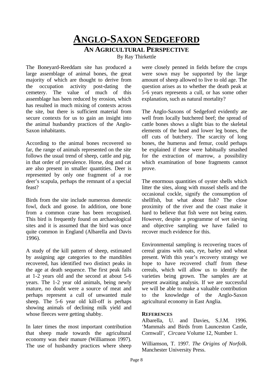# **ANGLO-SAXON SEDGEFORD**

#### **AN AGRICULTURAL PERSPECTIVE**

By Ray Thirkettle

The Boneyard-Reeddam site has produced a large assemblage of animal bones, the great majority of which are thought to derive from the occupation activity post-dating the cemetery. The value of much of this assemblage has been reduced by erosion, which has resulted in much mixing of contexts across the site, but there is sufficient material from secure contexts for us to gain an insight into the animal husbandry practices of the Anglo-Saxon inhabitants.

According to the animal bones recovered so far, the range of animals represented on the site follows the usual trend of sheep, cattle and pig, in that order of prevalence. Horse, dog and cat are also present in smaller quantities. Deer is represented by only one fragment of a roe deer's scapula, perhaps the remnant of a special feast?

Birds from the site include numerous domestic fowl, duck and goose. In addition, one bone from a common crane has been recognised. This bird is frequently found on archaeological sites and it is assumed that the bird was once quite common in England (Albarella and Davis 1996).

A study of the kill pattern of sheep, estimated by assigning age categories to the mandibles recovered, has identified two distinct peaks in the age at death sequence. The first peak falls at 1-2 years old and the second at about 5-6 years. The 1-2 year old animals, being newly mature, no doubt were a source of meat and perhaps represent a cull of unwanted male sheep. The 5-6 year old kill-off is perhaps showing animals of declining milk yield and whose fleeces were getting shabby.

In later times the most important contribution that sheep made towards the agricultural economy was their manure (Williamson 1997). The use of husbandry practices where sheep were closely penned in fields before the crops were sown may be supported by the large amount of sheep allowed to live to old age. The question arises as to whether the death peak at 5-6 years represents a cull, or has some other explanation, such as natural mortality?

The Anglo-Saxons of Sedgeford evidently ate well from locally butchered beef; the spread of cattle bones shows a slight bias to the skeletal elements of the head and lower leg bones, the off cuts of butchery. The scarcity of long bones, the humerus and femur, could perhaps be explained if these were habitually smashed for the extraction of marrow, a possibility which examination of bone fragments cannot prove.

The enormous quantities of oyster shells which litter the sites, along with mussel shells and the occasional cockle, signify the consumption of shellfish, but what about fish? The close proximity of the river and the coast make it hard to believe that fish were not being eaten. However, despite a programme of wet sieving and objective sampling we have failed to recover much evidence for this.

Environmental sampling is recovering traces of cereal grains with oats, rye, barley and wheat present. With this year's recovery strategy we hope to have recovered chaff from these cereals, which will allow us to identify the varieties being grown. The samples are at present awaiting analysis. If we are successful we will be able to make a valuable contribution to the knowledge of the Anglo-Saxon agricultural economy in East Anglia.

#### **REFERENCES**

Albarella, U. and Davies, S.J.M. 1996. 'Mammals and Birds from Launceston Castle, Cornwall', *Circaea* Volume 12, Number 1.

Williamson, T. 1997. *The Origins of Norfolk*. Manchester University Press.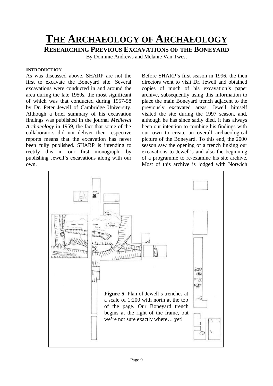### **THE ARCHAEOLOGY OF ARCHAEOLOGY**

**RESEARCHING PREVIOUS EXCAVATIONS OF THE BONEYARD**

By Dominic Andrews and Melanie Van Twest

#### **INTRODUCTION**

As was discussed above, SHARP are not the first to excavate the Boneyard site. Several excavations were conducted in and around the area during the late 1950s, the most significant of which was that conducted during 1957-58 by Dr. Peter Jewell of Cambridge University. Although a brief summary of his excavation findings was published in the journal *Medieval Archaeology* in 1959, the fact that some of the collaborators did not deliver their respective reports means that the excavation has never been fully published. SHARP is intending to rectify this in our first monograph, by publishing Jewell's excavations along with our own.

Before SHARP's first season in 1996, the then directors went to visit Dr. Jewell and obtained copies of much of his excavation's paper archive, subsequently using this information to place the main Boneyard trench adjacent to the previously excavated areas. Jewell himself visited the site during the 1997 season, and, although he has since sadly died, it has always been our intention to combine his findings with our own to create an overall archaeological picture of the Boneyard. To this end, the 2000 season saw the opening of a trench linking our excavations to Jewell's and also the beginning of a programme to re-examine his site archive. Most of this archive is lodged with Norwich

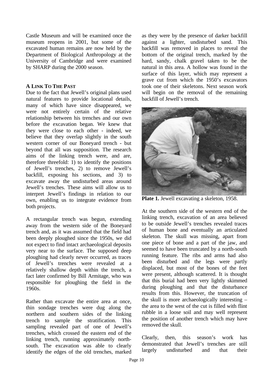Castle Museum and will be examined once the museum reopens in 2001, but some of the excavated human remains are now held by the Department of Biological Anthropology at the University of Cambridge and were examined by SHARP during the 2000 season.

#### **A LINK TO THE PAST**

Due to the fact that Jewell's original plans used natural features to provide locational details, many of which have since disappeared, we were not entirely certain of the relative relationship between his trenches and our own before the excavation began. We knew that they were close to each other - indeed, we believe that they overlap slightly in the south western corner of our Boneyard trench - but beyond that all was supposition. The research aims of the linking trench were, and are, therefore threefold:  $\overline{1}$ ) to identify the positions of Jewell's trenches, 2) to remove Jewell's backfill, exposing his sections, and 3) to excavate away the undisturbed areas around Jewell's trenches. These aims will allow us to interpret Jewell's findings in relation to our own, enabling us to integrate evidence from both projects.

A rectangular trench was begun, extending away from the western side of the Boneyard trench and, as it was assumed that the field had been deeply ploughed since the 1950s, we did not expect to find intact archaeological deposits very near to the surface. The supposed deep ploughing had clearly never occurred, as traces of Jewell's trenches were revealed at a relatively shallow depth within the trench, a fact later confirmed by Bill Armitage, who was responsible for ploughing the field in the 1960s.

Rather than excavate the entire area at once, thin sondage trenches were dug along the northern and southern sides of the linking trench to sample the stratification. This sampling revealed part of one of Jewell's trenches, which crossed the eastern end of the linking trench, running approximately northsouth. The excavation was able to clearly identify the edges of the old trenches, marked

as they were by the presence of darker backfill against a lighter, undisturbed sand. This backfill was removed in places to reveal the bottom of the original trench, marked by the hard, sandy, chalk gravel taken to be the natural in this area. A hollow was found in the surface of this layer, which may represent a grave cut from which the 1950's excavators took one of their skeletons. Next season work will begin on the removal of the remaining backfill of Jewell's trench.



**Plate 1.** Jewell excavating a skeleton, 1958.

At the southern side of the western end of the linking trench, excavation of an area believed to be outside Jewell's trenches revealed traces of human bone and eventually an articulated skeleton. The skull was missing, apart from one piece of bone and a part of the jaw, and seemed to have been truncated by a north-south running feature. The ribs and arms had also been disturbed and the legs were partly displaced, but most of the bones of the feet were present, although scattered. It is thought that this burial had been very lightly skimmed during ploughing and that the disturbance results from this. However, the truncation of the skull is more archaeologically interesting – the area to the west of the cut is filled with flint rubble in a loose soil and may well represent the position of another trench which may have removed the skull.

Clearly, then, this season's work has demonstrated that Jewell's trenches are still largely undisturbed and that their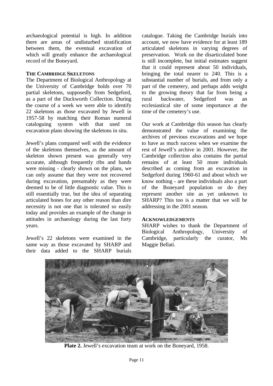archaeological potential is high. In addition there are areas of undisturbed stratification between them, the eventual excavation of which will greatly enhance the archaeological record of the Boneyard.

#### **THE CAMBRIDGE SKELETONS**

The Department of Biological Anthropology at the University of Cambridge holds over 70 partial skeletons, supposedly from Sedgeford, as a part of the Duckworth Collection. During the course of a week we were able to identify 22 skeletons as those excavated by Jewell in 1957-58 by matching their Roman numeral cataloguing system with that used on excavation plans showing the skeletons in situ.

Jewell's plans compared well with the evidence of the skeletons themselves, as the amount of skeleton shown present was generally very accurate, although frequently ribs and hands were missing - clearly shown on the plans, we can only assume that they were not recovered during excavation, presumably as they were deemed to be of little diagnostic value. This is still essentially true, but the idea of separating articulated bones for any other reason than dire necessity is not one that is tolerated so easily today and provides an example of the change in attitudes in archaeology during the last forty years.

Jewell's 22 skeletons were examined in the same way as those excavated by SHARP and their data added to the SHARP burials

catalogue. Taking the Cambridge burials into account, we now have evidence for at least 189 articulated skeletons in varying degrees of preservation. Work on the disarticulated bone is still incomplete, but initial estimates suggest that it could represent about 50 individuals, bringing the total nearer to 240. This is a substantial number of burials, and from only a part of the cemetery, and perhaps adds weight to the growing theory that far from being a<br>rural backwater. Sedgeford was an rural backwater, Sedgeford was an ecclesiastical site of some importance at the time of the cemetery's use.

Our work at Cambridge this season has clearly demonstrated the value of examining the archives of previous excavations and we hope to have as much success when we examine the rest of Jewell's archive in 2001. However, the Cambridge collection also contains the partial remains of at least 50 more individuals described as coming from an excavation in Sedgeford during 1960-61 and about which we know nothing - are these individuals also a part of the Boneyard population or do they represent another site as yet unknown to SHARP? This too is a matter that we will be addressing in the 2001 season.

#### **ACKNOWLEDGEMENTS**

SHARP wishes to thank the Department of Biological Anthropology, University of Cambridge, particularly the curator, Ms Maggie Bellati.



**Plate 2.** Jewell's excavation team at work on the Boneyard, 1958.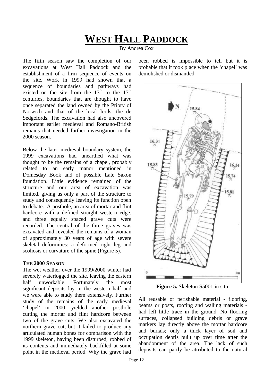### **WEST HALL PADDOCK**

By Andrea Cox

The fifth season saw the completion of our excavations at West Hall Paddock and the establishment of a firm sequence of events on the site. Work in 1999 had shown that a sequence of boundaries and pathways had existed on the site from the  $13<sup>th</sup>$  to the  $17<sup>th</sup>$ centuries, boundaries that are thought to have once separated the land owned by the Priory of Norwich and that of the local lords, the de Sedgefords. The excavation had also uncovered important earlier medieval and Romano-British remains that needed further investigation in the 2000 season.

Below the later medieval boundary system, the 1999 excavations had unearthed what was thought to be the remains of a chapel, probably related to an early manor mentioned in Domesday Book and of possible Late Saxon foundation. Little evidence remained of the structure and our area of excavation was limited, giving us only a part of the structure to study and consequently leaving its function open to debate. A posthole, an area of mortar and flint hardcore with a defined straight western edge, and three equally spaced grave cuts were recorded. The central of the three graves was excavated and revealed the remains of a woman of approximately 30 years of age with severe skeletal deformities: a deformed right leg and scoliosis or curvature of the spine (Figure 5).

#### **THE 2000 SEASON**

The wet weather over the 1999/2000 winter had severely waterlogged the site, leaving the eastern half unworkable. Fortunately the most significant deposits lay in the western half and we were able to study them extensively. Further study of the remains of the early medieval 'chapel' in 2000, yielded another posthole cutting the mortar and flint hardcore between two of the grave cuts. We also excavated the northern grave cut, but it failed to produce any articulated human bones for comparison with the 1999 skeleton, having been disturbed, robbed of its contents and immediately backfilled at some point in the medieval period. Why the grave had

been robbed is impossible to tell but it is probable that it took place when the 'chapel' was demolished or dismantled.



**Figure 5.** Skeleton S5001 in situ.

All reusable or perishable material - flooring, beams or posts, roofing and walling materials had left little trace in the ground. No flooring surfaces, collapsed building debris or grave markers lay directly above the mortar hardcore and burials; only a thick layer of soil and occupation debris built up over time after the abandonment of the area. The lack of such deposits can partly be attributed to the natural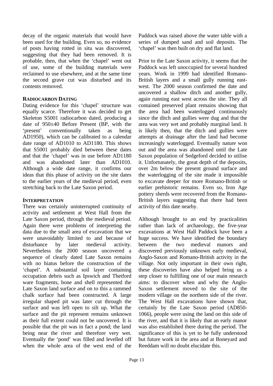decay of the organic materials that would have been used for the building. Even so, no evidence of posts having rotted in situ was discovered, suggesting that they had been removed. It is probable, then, that when the 'chapel' went out of use, some of the building materials were reclaimed to use elsewhere, and at the same time the second grave cut was disturbed and its contents removed.

#### **RADIOCARBON DATING**

Dating evidence for this 'chapel' structure was equally scarce. Therefore it was decided to get Skeleton S5001 radiocarbon dated, producing a date of 950±40 Before Present (BP, with the 'present' conventionally taken as being AD1950), which can be calibrated to a calendar date range of AD1010 to AD1180. This shows that S5001 probably died between these dates and that the 'chapel' was in use before AD1180 and was abandoned later than AD1010. Although a wide date range, it confirms our ideas that this phase of activity on the site dates to the earlier years of the medieval period, even stretching back to the Late Saxon period.

#### **INTERPRETATION**

There was certainly uninterrupted continuity of activity and settlement at West Hall from the Late Saxon period, through the medieval period. Again there were problems of interpreting the data due to the small area of excavation that we were unavoidably limited to and because of disturbance by later medieval activity. Nevertheless the 2000 season uncovered a sequence of clearly dated Late Saxon remains with no hiatus before the construction of the 'chapel'. A substantial soil layer containing occupation debris such as Ipswich and Thetford ware fragments, bone and shell represented the Late Saxon land surface and on to this a rammed chalk surface had been constructed. A large irregular shaped pit was later cut through the surface and was left open to silt up. What the surface and the pit represent remains unknown as their full extent could not be uncovered. It is possible that the pit was in fact a pond; the land being near the river and therefore very wet. Eventually the 'pond' was filled and levelled off when the whole area of the west end of the

Paddock was raised above the water table with a series of dumped sand and soil deposits. The 'chapel' was then built on dry and flat land.

Prior to the Late Saxon activity, it seems that the Paddock was left unoccupied for several hundred years. Work in 1999 had identified Romano-British layers and a small gully running eastwest. The 2000 season confirmed the date and uncovered a shallow ditch and another gully, again running east west across the site. They all contained preserved plant remains showing that the area had been waterlogged continuously since the ditch and gullies were dug and that the area was very wet and probably marginal land. It is likely then, that the ditch and gullies were attempts at drainage after the land had become increasingly waterlogged. Eventually nature won out and the area was abandoned until the Late Saxon population of Sedgeford decided to utilise it. Unfortunately, the great depth of the deposits, over 2m below the present ground surface and the waterlogging of the site made it impossible to excavate deeper for more Romano-British or earlier prehistoric remains. Even so, Iron Age pottery sherds were recovered from the Romano-British layers suggesting that there had been activity of this date nearby.

Although brought to an end by practicalities rather than lack of archaeology, the five-year excavations at West Hall Paddock have been a huge success. We have identified the boundary between the two medieval manors and discovered previously unknown early medieval, Anglo-Saxon and Romano-British activity in the village. Not only important in their own right, these discoveries have also helped bring us a step closer to fulfilling one of our main research aims: to discover when and why the Anglo-Saxon settlement moved to the site of the modern village on the northern side of the river. The West Hall excavations have shown that, certainly by the Late Saxon period (AD850- 1066), people were using the land on this side of the river, and that it is likely that an early manor was also established there during the period. The significance of this is yet to be fully understood but future work in the area and at Boneyard and Reeddam will no doubt elucidate this.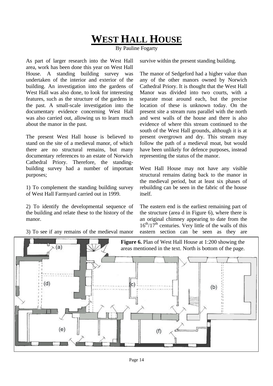## **WEST HALL HOUSE**

By Pauline Fogarty

As part of larger research into the West Hall area, work has been done this year on West Hall House. A standing building survey was undertaken of the interior and exterior of the building. An investigation into the gardens of West Hall was also done, to look for interesting features, such as the structure of the gardens in the past. A small-scale investigation into the documentary evidence concerning West Hall was also carried out, allowing us to learn much about the manor in the past.

The present West Hall house is believed to stand on the site of a medieval manor, of which there are no structural remains, but many documentary references to an estate of Norwich Cathedral Priory. Therefore, the standingbuilding survey had a number of important purposes;

1) To complement the standing building survey of West Hall Farmyard carried out in 1999.

2) To identify the developmental sequence of the building and relate these to the history of the manor.

3) To see if any remains of the medieval manor

survive within the present standing building.

The manor of Sedgeford had a higher value than any of the other manors owned by Norwich Cathedral Priory. It is thought that the West Hall Manor was divided into two courts, with a separate moat around each, but the precise location of these is unknown today. On the present site a stream runs parallel with the north and west walls of the house and there is also evidence of where this stream continued to the south of the West Hall grounds, although it is at present overgrown and dry. This stream may follow the path of a medieval moat, but would have been unlikely for defence purposes, instead representing the status of the manor.

West Hall House may not have any visible structural remains dating back to the manor in the medieval period, but at least six phases of rebuilding can be seen in the fabric of the house itself.

The eastern end is the earliest remaining part of the structure (area d in Figure 6), where there is an original chimney appearing to date from the  $16<sup>th</sup>/17<sup>th</sup>$  centuries. Very little of the walls of this eastern section can be seen as they are

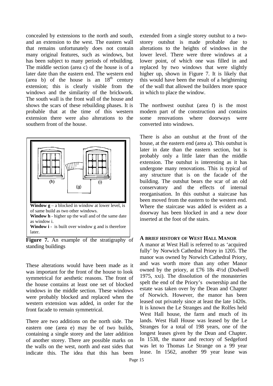concealed by extensions to the north and south, and an extension to the west. The eastern wall that remains unfortunately does not contain many original features, such as windows, but has been subject to many periods of rebuilding. The middle section (area c) of the house is of a later date than the eastern end. The western end (area b) of the house is an  $18<sup>th</sup>$  century extension; this is clearly visible from the windows and the similarity of the brickwork. The south wall is the front wall of the house and shows the scars of these rebuilding phases. It is probable that at the time of this western extension there were also alterations to the southern front of the house.



**Figure 7.** An example of the stratigraphy of standing buildings

These alterations would have been made as it was important for the front of the house to look symmetrical for aesthetic reasons. The front of the house contains at least one set of blocked windows in the middle section. These windows were probably blocked and replaced when the western extension was added, in order for the front facade to remain symmetrical.

There are two additions on the north side. The eastern one (area e) may be of two builds, containing a single storey and the later addition of another storey. There are possible marks on the walls on the west, north and east sides that indicate this. The idea that this has been extended from a single storey outshut to a twostorey outshut is made probable due to alterations to the heights of windows in the lower level. There were three windows at a lower point, of which one was filled in and replaced by two windows that were slightly higher up, shown in Figure 7. It is likely that this would have been the result of a heightening of the wall that allowed the builders more space in which to place the window.

The northwest outshut (area f) is the most modern part of the construction and contains some renovations where doorways were converted into windows.

There is also an outshut at the front of the house, at the eastern end (area a). This outshut is later in date than the eastern section, but is probably only a little later than the middle extension. The outshut is interesting as it has undergone many renovations. This is typical of any structure that is on the facade of the building. The outshut bears the scar of an old conservatory and the effects of internal reorganisation. In this outshut a staircase has been moved from the eastern to the western end. Where the staircase was added is evident as a doorway has been blocked in and a new door inserted at the foot of the stairs.

#### **A BRIEF HISTORY OF WEST HALL MANOR**

A manor at West Hall is referred to as 'acquired fully' by Norwich Cathedral Priory in 1205. The manor was owned by Norwich Cathedral Priory, and was worth more than any other Manor owned by the priory, at £76 18s 4½d (Dodwell 1975, xxi). The dissolution of the monasteries spelt the end of the Priory's ownership and the estate was taken over by the Dean and Chapter of Norwich. However, the manor has been leased out privately since at least the late 1420s. It is known the Le Stranges and the Rolfes held West Hall house, the farm and much of its lands. West Hall House was leased by the Le Stranges for a total of 198 years, one of the longest leases given by the Dean and Chapter. In 1538, the manor and rectory of Sedgeford was let to Thomas Le Strange on a 99 year lease. In 1562, another 99 year lease was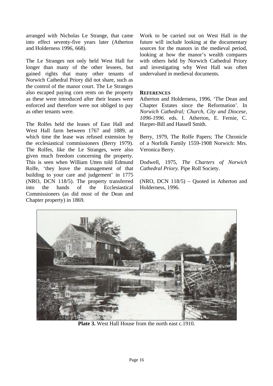arranged with Nicholas Le Strange, that came into effect seventy-five years later (Atherton and Holderness 1996, 668).

The Le Stranges not only held West Hall for longer than many of the other lessees, but gained rights that many other tenants of Norwich Cathedral Priory did not share, such as the control of the manor court. The Le Stranges also escaped paying corn rents on the property as these were introduced after their leases were enforced and therefore were not obliged to pay as other tenants were.

The Rolfes held the leases of East Hall and West Hall farm between 1767 and 1889, at which time the lease was refused extension by the ecclesiastical commissioners (Berry 1979). The Rolfes, like the Le Stranges, were also given much freedom concerning the property. This is seen when William Utten told Edmund Rolfe, 'they leave the management of that building to your care and judgement' in 1775 (NRO, DCN 118/5). The property transferred into the hands of the Ecclesiastical Commissioners (as did most of the Dean and Chapter property) in 1869.

Work to be carried out on West Hall in the future will include looking at the documentary sources for the manors in the medieval period, looking at how the manor's wealth compares with others held by Norwich Cathedral Priory and investigating why West Hall was often undervalued in medieval documents.

#### **REFERENCES**

Atherton and Holderness, 1996, 'The Dean and Chapter Estates since the Reformation'. In *Norwich Cathedral; Church, City and Diocese, 1096-1996*. eds. I. Atherton, E. Fernie, C. Harper-Bill and Hassell Smith.

Berry, 1979, The Rolfe Papers; The Chronicle of a Norfolk Family 1559-1908 Norwich: Mrs. Veronica Berry.

Dodwell, 1975, *The Charters of Norwich Cathedral Priory.* Pipe Roll Society.

(NRO, DCN 118/5) – Quoted in Atherton and Holderness, 1996.



**Plate 3.** West Hall House from the north east c.1910.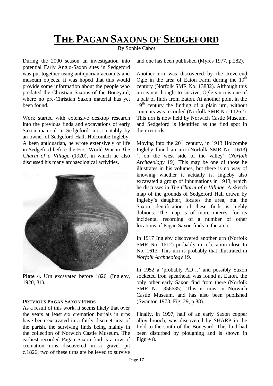### **THE PAGAN SAXONS OF SEDGEFORD**

By Sophie Cabot

During the 2000 season an investigation into potential Early Anglo-Saxon sites in Sedgeford was put together using antiquarian accounts and museum objects. It was hoped that this would provide some information about the people who predated the Christian Saxons of the Boneyard, where no pre-Christian Saxon material has yet been found.

Work started with extensive desktop research into the previous finds and excavations of early Saxon material in Sedgeford, most notably by an owner of Sedgeford Hall, Holcombe Ingleby. A keen antiquarian, he wrote extensively of life in Sedgeford before the First World War in *The Charm of a Village* (1920), in which he also discussed his many archaeological activities.



Plate 4. Urn excavated before 1826. (Ingleby, 1920, 31).

#### **PREVIOUS PAGAN SAXON FINDS**

As a result of this work, it seems likely that over the years at least six cremation burials in urns have been excavated in a fairly discreet area of the parish, the surviving finds being mainly in the collection of Norwich Castle Museum. The earliest recorded Pagan Saxon find is a row of cremation urns discovered in a gravel pit c.1826; two of these urns are believed to survive

and one has been published (Myres 1977, p.282).

Another urn was discovered by the Reverend Ogle in the area of Eaton Farm during the  $19<sup>th</sup>$ century (Norfolk SMR No. 13882). Although this urn is not thought to survive, Ogle's urn is one of a pair of finds from Eaton. At another point in the  $19<sup>th</sup>$  century the finding of a plain urn, without contents was recorded (Norfolk SMR No. 11262). This urn is now held by Norwich Castle Museum, and Sedgeford is identified as the find spot in their records.

Moving into the  $20<sup>th</sup>$  century, in 1913 Holcombe Ingleby found an urn (Norfolk SMR No. 1613) '…on the west side of the valley' (*Norfolk Archaeology* 19). This may be one of those he illustrates in his volumes, but there is no way of knowing whether it actually is. Ingleby also excavated a group of inhumations in 1913, which he discusses in *The Charm of a Village*. A sketch map of the grounds of Sedgeford Hall drawn by Ingleby's daughter, locates the area, but the Saxon identification of these finds is highly dubious. The map is of more interest for its incidental recording of a number of other locations of Pagan Saxon finds in the area.

In 1917 Ingleby discovered another urn (Norfolk SMR No. 1612) probably in a location close to No. 1613. This urn is probably that illustrated in *Norfolk Archaeology* 19.

In 1952 a 'probably AD…' and possibly Saxon socketed iron spearhead was found at Eaton, the only other early Saxon find from there (Norfolk SMR No. 356635). This is now in Norwich Castle Museum, and has also been published (Swanton 1973, Fig. 29, p.88).

Finally, in 1997, half of an early Saxon copper alloy brooch, was discovered by SHARP in the field to the south of the Boneyard. This find had been disturbed by ploughing and is shown in Figure 8.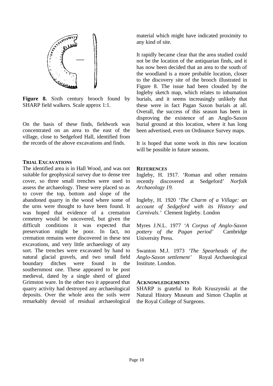

**Figure 8.** Sixth century brooch found by SHARP field walkers. Scale approx 1:1.

On the basis of these finds, fieldwork was concentrated on an area to the east of the village, close to Sedgeford Hall, identified from the records of the above excavations and finds.

#### **TRIAL EXCAVATIONS**

The identified area is in Hall Wood, and was not suitable for geophysical survey due to dense tree cover, so three small trenches were used to assess the archaeology. These were placed so as to cover the top, bottom and slope of the abandoned quarry in the wood where some of the urns were thought to have been found. It was hoped that evidence of a cremation cemetery would be uncovered, but given the difficult conditions it was expected that preservation might be poor. In fact, no cremation remains were discovered in these test excavations, and very little archaeology of any sort. The trenches were excavated by hand to natural glacial gravels, and two small field boundary ditches were found in the southernmost one. These appeared to be post medieval, dated by a single sherd of glazed Grimston ware. In the other two it appeared that quarry activity had destroyed any archaeological deposits. Over the whole area the soils were remarkably devoid of residual archaeological

material which might have indicated proximity to any kind of site.

It rapidly became clear that the area studied could not be the location of the antiquarian finds, and it has now been decided that an area to the south of the woodland is a more probable location, closer to the discovery site of the brooch illustrated in Figure 8. The issue had been clouded by the Ingleby sketch map, which relates to inhumation burials, and it seems increasingly unlikely that these were in fact Pagan Saxon burials at all. Overall, the success of this season has been in disproving the existence of an Anglo-Saxon burial ground at this location, where it has long been advertised, even on Ordinance Survey maps.

It is hoped that some work in this new location will be possible in future seasons.

#### **REFERENCES**

Ingleby, H. 1917. 'Roman and other remains recently discovered at Sedgeford' *Norfolk Archaeology 19.*

Ingleby, H. 1920 *'The Charm of a Village: an account of Sedgeford with its History and Carnivals.'* Clement Ingleby. London

Myres J.N.L. 1977 *'A Corpus of Anglo-Saxon pottery of the Pagan period'* Cambridge University Press.

Swanton M.J. 1973 *'The Spearheads of the Anglo-Saxon settlement'* Royal Archaeological Institute. London.

#### **ACKNOWLEDGEMENTS**

SHARP is grateful to Rob Kruszynski at the Natural History Museum and Simon Chaplin at the Royal College of Surgeons.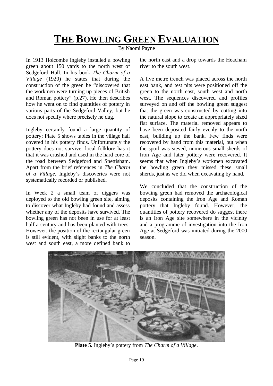## **THE BOWLING GREEN EVALUATION**

By Naomi Payne

In 1913 Holcombe Ingleby installed a bowling green about 150 yards to the north west of Sedgeford Hall. In his book *The Charm of a Village* (1920) he states that during the construction of the green he "discovered that the workmen were turning up pieces of British and Roman pottery" (p.27). He then describes how he went on to find quantities of pottery in various parts of the Sedgeford Valley, but he does not specify where precisely he dug.

Ingleby certainly found a large quantity of pottery; Plate 5 shows tables in the village hall covered in his pottery finds. Unfortunately the pottery does not survive: local folklore has it that it was crushed and used in the hard core of the road between Sedgeford and Snettisham. Apart from the brief references in *The Charm of a Village*, Ingleby's discoveries were not systematically recorded or published.

In Week 2 a small team of diggers was deployed to the old bowling green site, aiming to discover what Ingleby had found and assess whether any of the deposits have survived. The bowling green has not been in use for at least half a century and has been planted with trees. However, the position of the rectangular green is still evident, with slight banks to the north west and south east, a more defined bank to

the north east and a drop towards the Heacham river to the south west.

A five metre trench was placed across the north east bank, and test pits were positioned off the green to the north east, south west and north west. The sequences discovered and profiles surveyed on and off the bowling green suggest that the green was constructed by cutting into the natural slope to create an appropriately sized flat surface. The material removed appears to have been deposited fairly evenly to the north east, building up the bank. Few finds were recovered by hand from this material, but when the spoil was sieved, numerous small sherds of Iron Age and later pottery were recovered. It seems that when Ingleby's workmen excavated the bowling green they missed these small sherds, just as we did when excavating by hand.

We concluded that the construction of the bowling green had removed the archaeological deposits containing the Iron Age and Roman pottery that Ingleby found. However, the quantities of pottery recovered do suggest there is an Iron Age site somewhere in the vicinity and a programme of investigation into the Iron Age at Sedgeford was initiated during the 2000 season.



**Plate 5.** Ingleby's pottery from *The Charm of a Village*.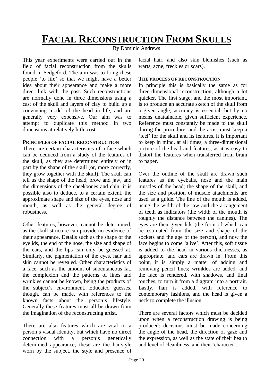## **FACIAL RECONSTRUCTION FROM SKULLS**

By Dominic Andrews

This year experiments were carried out in the field of facial reconstruction from the skulls found in Sedgeford. The aim was to bring these people 'to life' so that we might have a better idea about their appearance and make a more direct link with the past. Such reconstructions are normally done in three dimensions using a cast of the skull and layers of clay to build up a convincing model of the head in life, and are generally very expensive. Our aim was to attempt to duplicate this method in two dimensions at relatively little cost.

#### **PRINCIPLES OF FACIAL RECONSTRUCTION**

There are certain characteristics of a face which can be deduced from a study of the features of the skull, as they are determined entirely or in part by the shape of the skull (or, more correctly, they grow together with the skull). The skull can tell us the shape of the head, brow and jaw, and the dimensions of the cheekbones and chin; it is possible also to deduce, to a certain extent, the approximate shape and size of the eyes, nose and mouth, as well as the general degree of robustness.

Other features, however, cannot be determined, as the skull structure can provide no evidence of their appearance. Details such as the shape of the eyelids, the end of the nose, the size and shape of the ears, and the lips can only be guessed at. Similarly, the pigmentation of the eyes, hair and skin cannot be revealed. Other characteristics of a face, such as the amount of subcutaneous fat, the complexion and the patterns of lines and wrinkles cannot be known, being the products of the subject's environment. Educated guesses, though, can be made, with references to the known facts about the person's lifestyle. Generally these features must all be drawn from the imagination of the reconstructing artist.

There are also features which are vital to a person's visual identity, but which have no direct connection with a person's genetically determined appearance; these are the hairstyle worn by the subject, the style and presence of

facial hair, and also skin blemishes (such as warts, acne, freckles or scars).

#### **THE PROCESS OF RECONSTRUCTION**

In principle this is basically the same as for three-dimensional reconstruction, although a lot quicker. The first stage, and the most important, is to produce an accurate sketch of the skull from a given angle; accuracy is essential, but by no means unattainable, given sufficient experience. Reference must constantly be made to the skull during the procedure, and the artist must keep a 'feel' for the skull and its features. It is important to keep in mind, at all times, a three-dimensional picture of the head and features, as it is easy to distort the features when transferred from brain to paper.

Over the outline of the skull are drawn such features as the eyeballs, nose and the main muscles of the head; the shape of the skull, and the size and position of muscle attachments are used as a guide. The line of the mouth is added, using the width of the jaw and the arrangement of teeth as indicators (the width of the mouth is roughly the distance between the canines). The eyes are then given lids (the form of which can be estimated from the size and shape of the sockets and the age of the person), and now the face begins to come 'alive'. After this, soft tissue is added to the head in various thicknesses, as appropriate, and ears are drawn in. From this point, it is simply a matter of adding and removing pencil lines; wrinkles are added, and the face is rendered, with shadows, and final touches, to turn it from a diagram into a portrait. Lastly, hair is added, with reference to contemporary fashions, and the head is given a neck to complete the illusion.

There are several factors which must be decided upon when a reconstruction drawing is being produced: decisions must be made concerning the angle of the head, the direction of gaze and the expression, as well as the state of their health and level of cleanliness, and their 'character'.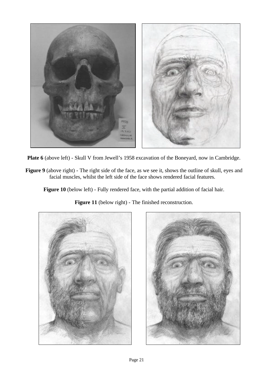

**Plate 6** (above left) - Skull V from Jewell's 1958 excavation of the Boneyard, now in Cambridge.

**Figure 9** (above right) - The right side of the face, as we see it, shows the outline of skull, eyes and facial muscles, whilst the left side of the face shows rendered facial features.

**Figure 10** (below left) - Fully rendered face, with the partial addition of facial hair.

**Figure 11** (below right) - The finished reconstruction.



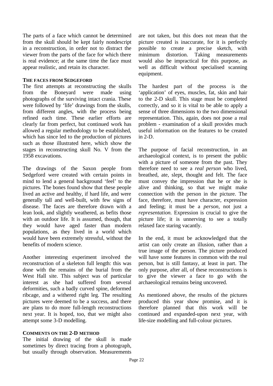The parts of a face which cannot be determined from the skull should be kept fairly nondescript in a reconstruction, in order not to distract the viewer from the parts of the face for which there is real evidence; at the same time the face must appear realistic, and retain its character.

#### **THE FACES FROM SEDGEFORD**

The first attempts at reconstructing the skulls from the Boneyard were made using photographs of the surviving intact crania. These were followed by 'life' drawings from the skulls, from different angles, with the process being refined each time. These earlier efforts are clearly far from perfect, but continued work has allowed a regular methodology to be established, which has since led to the production of pictures such as those illustrated here, which show the stages in reconstructing skull No. V from the 1958 excavations.

The drawings of the Saxon people from Sedgeford were created with certain points in mind to lend a general background 'feel' to the pictures. The bones found show that these people lived an active and healthy, if hard life, and were generally tall and well-built, with few signs of disease. The faces are therefore drawn with a lean look, and slightly weathered, as befits those with an outdoor life. It is assumed, though, that they would have aged faster than modern populations, as they lived in a world which would have been extremely stressful, without the benefits of modern science.

Another interesting experiment involved the reconstruction of a skeleton full length: this was done with the remains of the burial from the West Hall site. This subject was of particular interest as she had suffered from several deformities, such a badly curved spine, deformed ribcage, and a withered right leg. The resulting pictures were deemed to be a success, and there are plans to do more full-length reconstructions next year. It is hoped, too, that we might also attempt some 3-D modelling.

#### **COMMENTS ON THE 2-D METHOD**

The initial drawing of the skull is made sometimes by direct tracing from a photograph, but usually through observation. Measurements are not taken, but this does not mean that the picture created is inaccurate, for it is perfectly possible to create a precise sketch, with minimum distortion. Taking measurements would also be impractical for this purpose, as well as difficult without specialised scanning equipment.

The hardest part of the process is the 'application' of eyes, muscles, fat, skin and hair to the 2-D skull. This stage must be completed correctly, and so it is vital to be able to apply a sense of three dimensions to the two dimensional representation. This, again, does not pose a real problem - examination of a skull provides much useful information on the features to be created in  $2-D$ .

The purpose of facial reconstruction, in an archaeological context, is to present the public with a picture of someone from the past. They therefore need to see a *real person* who lived, breathed, ate, slept, thought and felt. The face must convey the impression that he or she is alive and thinking, so that we might make connection with the person in the picture. The face, therefore, must have character, expression and feeling; it must be a *person*, not just a *representation.* Expression is crucial to give the picture life; it is unnerving to see a totally relaxed face staring vacantly.

In the end, it must be acknowledged that the artist can only create an illusion, rather than a true image of the person. The picture produced will have some features in common with the real person, but is still fantasy, at least in part. The only purpose, after all, of these reconstructions is to give the viewer a face to go with the archaeological remains being uncovered.

As mentioned above, the results of the pictures produced this year show promise, and it is therefore planned that this work will be continued and expanded-upon next year, with life-size modelling and full-colour pictures.